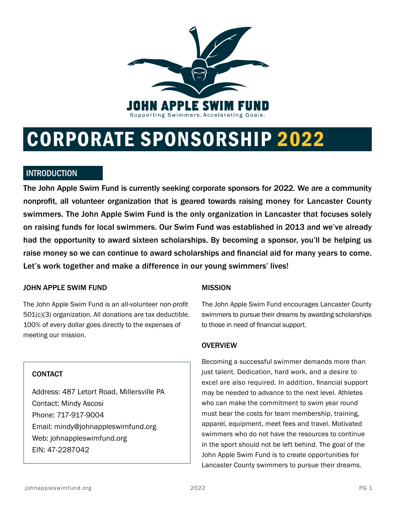

# CORPORATE SPONSORSHIP 2022

## **INTRODUCTION**

The John Apple Swim Fund is currently seeking corporate sponsors for 2022. We are a community nonprofit, all volunteer organization that is geared towards raising money for Lancaster County swimmers. The John Apple Swim Fund is the only organization in Lancaster that focuses solely on raising funds for local swimmers. Our Swim Fund was established in 2013 and we've already had the opportunity to award sixteen scholarships. By becoming a sponsor, you'll be helping us raise money so we can continue to award scholarships and financial aid for many years to come. Let's work together and make a difference in our young swimmers' lives!

#### JOHN APPLE SWIM FUND

The John Apple Swim Fund is an all-volunteer non-profit 501(c)(3) organization. All donations are tax deductible. 100% of every dollar goes directly to the expenses of meeting our mission.

#### **CONTACT**

Address: 487 Letort Road, Millersville PA Contact: Mindy Ascosi Phone: 717-917-9004 Email: mindy@johnappleswimfund.org Web: johnappleswimfund.org EIN: 47-2287042

#### MISSION

The John Apple Swim Fund encourages Lancaster County swimmers to pursue their dreams by awarding scholarships to those in need of financial support.

#### **OVERVIEW**

Becoming a successful swimmer demands more than just talent. Dedication, hard work, and a desire to excel are also required. In addition, financial support may be needed to advance to the next level. Athletes who can make the commitment to swim year round must bear the costs for team membership, training, apparel, equipment, meet fees and travel. Motivated swimmers who do not have the resources to continue in the sport should not be left behind. The goal of the John Apple Swim Fund is to create opportunities for Lancaster County swimmers to pursue their dreams.